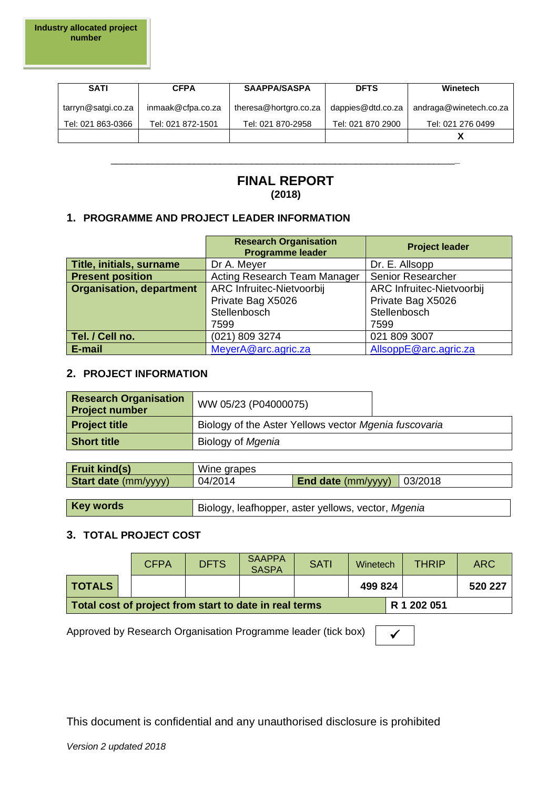| <b>SATI</b>        | <b>CFPA</b>       | SAAPPA/SASPA          | <b>DFTS</b>       | Winetech               |
|--------------------|-------------------|-----------------------|-------------------|------------------------|
| tarryn@satgi.co.za | inmaak@cfpa.co.za | theresa@hortgro.co.za | dappies@dtd.co.za | andraga@winetech.co.za |
| Tel: 021 863-0366  | Tel: 021 872-1501 | Tel: 021 870-2958     | Tel: 021 870 2900 | Tel: 021 276 0499      |
|                    |                   |                       |                   |                        |

# **FINAL REPORT (2018)**

\_\_\_\_\_\_\_\_\_\_\_\_\_\_\_\_\_\_\_\_\_\_\_\_\_\_\_\_\_\_\_\_\_\_\_\_\_\_\_\_\_\_\_\_\_\_\_\_\_\_\_\_\_\_\_\_\_\_\_\_\_\_\_\_\_\_**\_**

### **1. PROGRAMME AND PROJECT LEADER INFORMATION**

|                                 | <b>Research Organisation</b><br><b>Programme leader</b> | <b>Project leader</b>     |
|---------------------------------|---------------------------------------------------------|---------------------------|
| Title, initials, surname        | Dr A. Meyer                                             | Dr. E. Allsopp            |
| <b>Present position</b>         | Acting Research Team Manager                            | Senior Researcher         |
| <b>Organisation, department</b> | ARC Infruitec-Nietvoorbij                               | ARC Infruitec-Nietvoorbij |
|                                 | Private Bag X5026                                       | Private Bag X5026         |
|                                 | Stellenbosch                                            | Stellenbosch              |
|                                 | 7599                                                    | 7599                      |
| Tel. / Cell no.                 | (021) 809 3274                                          | 021 809 3007              |
| E-mail                          | MeyerA@arc.agric.za                                     | AllsoppE@arc.agric.za     |

#### **2. PROJECT INFORMATION**

| <b>Research Organisation</b><br><b>Project number</b> | WW 05/23 (P04000075)                                  |  |
|-------------------------------------------------------|-------------------------------------------------------|--|
| <b>Project title</b>                                  | Biology of the Aster Yellows vector Mgenia fuscovaria |  |
| <b>Short title</b>                                    | Biology of Mgenia                                     |  |

| <b>Fruit kind(s)</b>        | Wine grapes |                             |         |
|-----------------------------|-------------|-----------------------------|---------|
| <b>Start date</b> (mm/yyyy) | 04/2014     | <b>End date</b> $(mm/vyyy)$ | 03/2018 |
|                             |             |                             |         |

# **Key words** Biology, leafhopper, aster yellows, vector, *Mgenia*

#### **3. TOTAL PROJECT COST**

|                                                        | <b>CFPA</b> | <b>DFTS</b> | <b>SAAPPA</b><br><b>SASPA</b> | <b>SATI</b> | Winetech | <b>THRIP</b> | <b>ARC</b> |
|--------------------------------------------------------|-------------|-------------|-------------------------------|-------------|----------|--------------|------------|
| <b>TOTALS</b>                                          |             |             |                               |             | 499 824  |              | 520 227    |
| Total cost of project from start to date in real terms |             |             |                               |             |          | R 1 202 051  |            |

Approved by Research Organisation Programme leader (tick box)  $\Box$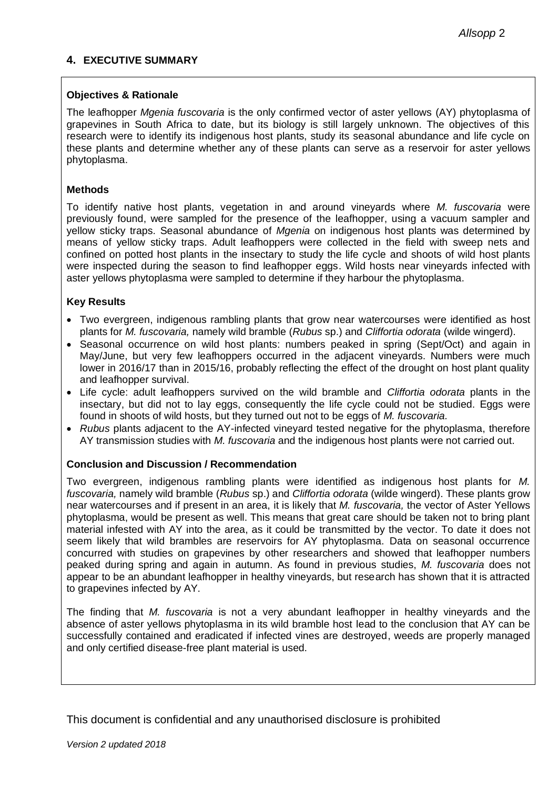### **4. EXECUTIVE SUMMARY**

#### **Objectives & Rationale**

The leafhopper *Mgenia fuscovaria* is the only confirmed vector of aster yellows (AY) phytoplasma of grapevines in South Africa to date, but its biology is still largely unknown. The objectives of this research were to identify its indigenous host plants, study its seasonal abundance and life cycle on these plants and determine whether any of these plants can serve as a reservoir for aster yellows phytoplasma.

#### **Methods**

To identify native host plants, vegetation in and around vineyards where *M. fuscovaria* were previously found, were sampled for the presence of the leafhopper, using a vacuum sampler and yellow sticky traps. Seasonal abundance of *Mgenia* on indigenous host plants was determined by means of yellow sticky traps. Adult leafhoppers were collected in the field with sweep nets and confined on potted host plants in the insectary to study the life cycle and shoots of wild host plants were inspected during the season to find leafhopper eggs. Wild hosts near vineyards infected with aster yellows phytoplasma were sampled to determine if they harbour the phytoplasma.

#### **Key Results**

- Two evergreen, indigenous rambling plants that grow near watercourses were identified as host plants for *M. fuscovaria,* namely wild bramble (*Rubus* sp.) and *Cliffortia odorata* (wilde wingerd).
- Seasonal occurrence on wild host plants: numbers peaked in spring (Sept/Oct) and again in May/June, but very few leafhoppers occurred in the adjacent vineyards. Numbers were much lower in 2016/17 than in 2015/16, probably reflecting the effect of the drought on host plant quality and leafhopper survival.
- Life cycle: adult leafhoppers survived on the wild bramble and *Cliffortia odorata* plants in the insectary, but did not to lay eggs, consequently the life cycle could not be studied. Eggs were found in shoots of wild hosts, but they turned out not to be eggs of *M. fuscovaria.*
- *Rubus* plants adjacent to the AY-infected vineyard tested negative for the phytoplasma, therefore AY transmission studies with *M. fuscovaria* and the indigenous host plants were not carried out.

#### **Conclusion and Discussion / Recommendation**

Two evergreen, indigenous rambling plants were identified as indigenous host plants for *M. fuscovaria,* namely wild bramble (*Rubus* sp.) and *Cliffortia odorata* (wilde wingerd). These plants grow near watercourses and if present in an area, it is likely that *M. fuscovaria,* the vector of Aster Yellows phytoplasma, would be present as well. This means that great care should be taken not to bring plant material infested with AY into the area, as it could be transmitted by the vector. To date it does not seem likely that wild brambles are reservoirs for AY phytoplasma. Data on seasonal occurrence concurred with studies on grapevines by other researchers and showed that leafhopper numbers peaked during spring and again in autumn. As found in previous studies, *M. fuscovaria* does not appear to be an abundant leafhopper in healthy vineyards, but research has shown that it is attracted to grapevines infected by AY.

The finding that *M. fuscovaria* is not a very abundant leafhopper in healthy vineyards and the absence of aster yellows phytoplasma in its wild bramble host lead to the conclusion that AY can be successfully contained and eradicated if infected vines are destroyed, weeds are properly managed and only certified disease-free plant material is used.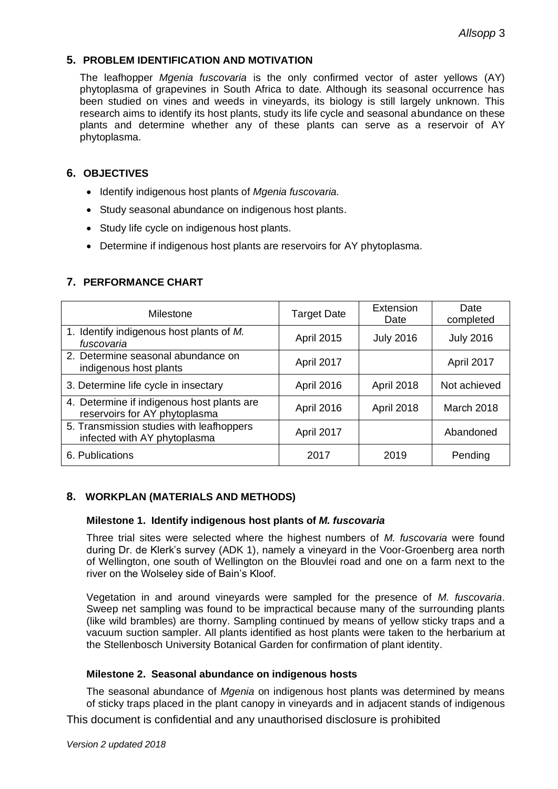### **5. PROBLEM IDENTIFICATION AND MOTIVATION**

The leafhopper *Mgenia fuscovaria* is the only confirmed vector of aster yellows (AY) phytoplasma of grapevines in South Africa to date. Although its seasonal occurrence has been studied on vines and weeds in vineyards, its biology is still largely unknown. This research aims to identify its host plants, study its life cycle and seasonal abundance on these plants and determine whether any of these plants can serve as a reservoir of AY phytoplasma.

### **6. OBJECTIVES**

- Identify indigenous host plants of *Mgenia fuscovaria.*
- Study seasonal abundance on indigenous host plants.
- Study life cycle on indigenous host plants.
- Determine if indigenous host plants are reservoirs for AY phytoplasma.

### **7. PERFORMANCE CHART**

| Milestone                                                                   | <b>Target Date</b> | Extension<br>Date | Date<br>completed |
|-----------------------------------------------------------------------------|--------------------|-------------------|-------------------|
| 1. Identify indigenous host plants of M.<br>fuscovaria                      | <b>April 2015</b>  | <b>July 2016</b>  | <b>July 2016</b>  |
| 2. Determine seasonal abundance on<br>indigenous host plants                | April 2017         |                   | April 2017        |
| 3. Determine life cycle in insectary                                        | <b>April 2016</b>  | April 2018        | Not achieved      |
| 4. Determine if indigenous host plants are<br>reservoirs for AY phytoplasma | April 2016         | <b>April 2018</b> | March 2018        |
| 5. Transmission studies with leafhoppers<br>infected with AY phytoplasma    | April 2017         |                   | Abandoned         |
| 6. Publications                                                             | 2017               | 2019              | Pending           |

## **8. WORKPLAN (MATERIALS AND METHODS)**

#### **Milestone 1. Identify indigenous host plants of** *M. fuscovaria*

Three trial sites were selected where the highest numbers of *M. fuscovaria* were found during Dr. de Klerk's survey (ADK 1), namely a vineyard in the Voor-Groenberg area north of Wellington, one south of Wellington on the Blouvlei road and one on a farm next to the river on the Wolseley side of Bain's Kloof.

Vegetation in and around vineyards were sampled for the presence of *M. fuscovaria*. Sweep net sampling was found to be impractical because many of the surrounding plants (like wild brambles) are thorny. Sampling continued by means of yellow sticky traps and a vacuum suction sampler. All plants identified as host plants were taken to the herbarium at the Stellenbosch University Botanical Garden for confirmation of plant identity.

#### **Milestone 2. Seasonal abundance on indigenous hosts**

The seasonal abundance of *Mgenia* on indigenous host plants was determined by means of sticky traps placed in the plant canopy in vineyards and in adjacent stands of indigenous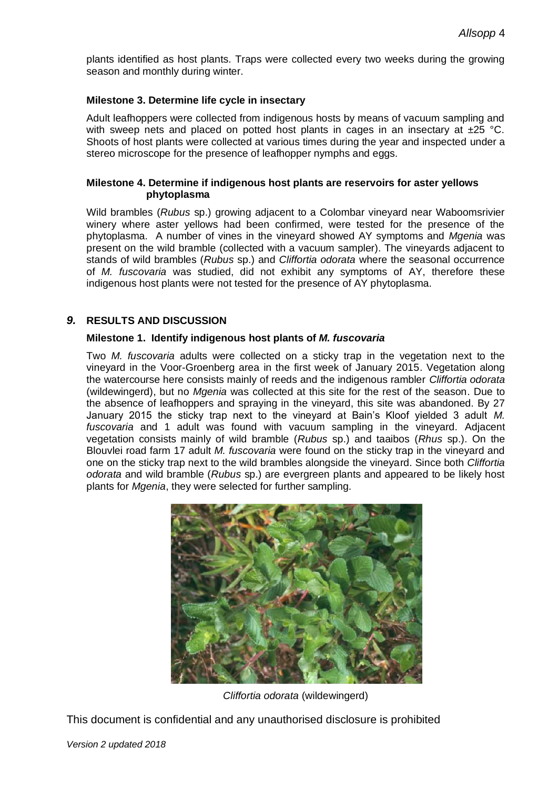plants identified as host plants. Traps were collected every two weeks during the growing season and monthly during winter.

#### **Milestone 3. Determine life cycle in insectary**

Adult leafhoppers were collected from indigenous hosts by means of vacuum sampling and with sweep nets and placed on potted host plants in cages in an insectary at  $\pm 25$  °C. Shoots of host plants were collected at various times during the year and inspected under a stereo microscope for the presence of leafhopper nymphs and eggs.

#### **Milestone 4. Determine if indigenous host plants are reservoirs for aster yellows phytoplasma**

Wild brambles (*Rubus* sp.) growing adjacent to a Colombar vineyard near Waboomsrivier winery where aster yellows had been confirmed, were tested for the presence of the phytoplasma. A number of vines in the vineyard showed AY symptoms and *Mgenia* was present on the wild bramble (collected with a vacuum sampler). The vineyards adjacent to stands of wild brambles (*Rubus* sp.) and *Cliffortia odorata* where the seasonal occurrence of *M. fuscovaria* was studied, did not exhibit any symptoms of AY, therefore these indigenous host plants were not tested for the presence of AY phytoplasma.

### *9.* **RESULTS AND DISCUSSION**

#### **Milestone 1. Identify indigenous host plants of** *M. fuscovaria*

Two *M. fuscovaria* adults were collected on a sticky trap in the vegetation next to the vineyard in the Voor-Groenberg area in the first week of January 2015. Vegetation along the watercourse here consists mainly of reeds and the indigenous rambler *Cliffortia odorata* (wildewingerd), but no *Mgenia* was collected at this site for the rest of the season. Due to the absence of leafhoppers and spraying in the vineyard, this site was abandoned. By 27 January 2015 the sticky trap next to the vineyard at Bain's Kloof yielded 3 adult *M. fuscovaria* and 1 adult was found with vacuum sampling in the vineyard. Adjacent vegetation consists mainly of wild bramble (*Rubus* sp.) and taaibos (*Rhus* sp.). On the Blouvlei road farm 17 adult *M. fuscovaria* were found on the sticky trap in the vineyard and one on the sticky trap next to the wild brambles alongside the vineyard. Since both *Cliffortia odorata* and wild bramble (*Rubus* sp.) are evergreen plants and appeared to be likely host plants for *Mgenia*, they were selected for further sampling.



*Cliffortia odorata* (wildewingerd)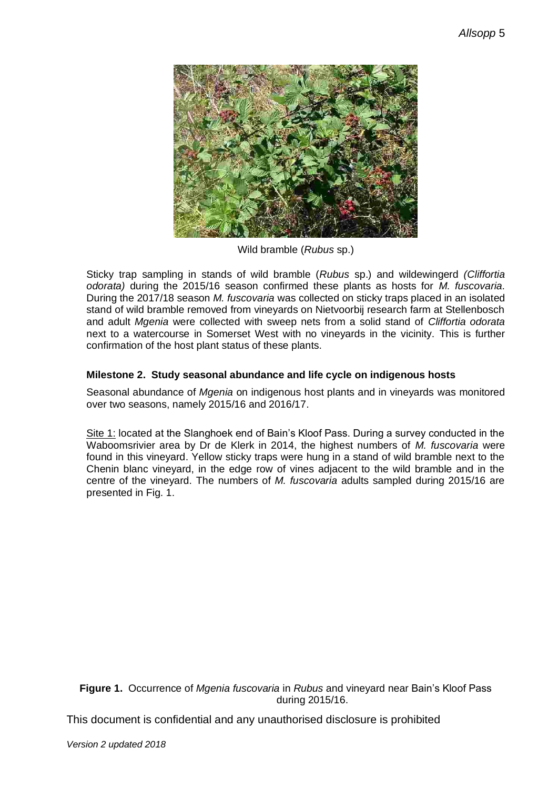

Wild bramble (*Rubus* sp.)

Sticky trap sampling in stands of wild bramble (*Rubus* sp.) and wildewingerd *(Cliffortia odorata)* during the 2015/16 season confirmed these plants as hosts for *M. fuscovaria.* During the 2017/18 season *M. fuscovaria* was collected on sticky traps placed in an isolated stand of wild bramble removed from vineyards on Nietvoorbij research farm at Stellenbosch and adult *Mgenia* were collected with sweep nets from a solid stand of *Cliffortia odorata* next to a watercourse in Somerset West with no vineyards in the vicinity. This is further confirmation of the host plant status of these plants.

## **Milestone 2. Study seasonal abundance and life cycle on indigenous hosts**

Seasonal abundance of *Mgenia* on indigenous host plants and in vineyards was monitored over two seasons, namely 2015/16 and 2016/17.

Site 1: located at the Slanghoek end of Bain's Kloof Pass. During a survey conducted in the Waboomsrivier area by Dr de Klerk in 2014, the highest numbers of *M. fuscovaria* were found in this vineyard. Yellow sticky traps were hung in a stand of wild bramble next to the Chenin blanc vineyard, in the edge row of vines adjacent to the wild bramble and in the centre of the vineyard. The numbers of *M. fuscovaria* adults sampled during 2015/16 are presented in Fig. 1.

**Figure 1.** Occurrence of *Mgenia fuscovaria* in *Rubus* and vineyard near Bain's Kloof Pass during 2015/16.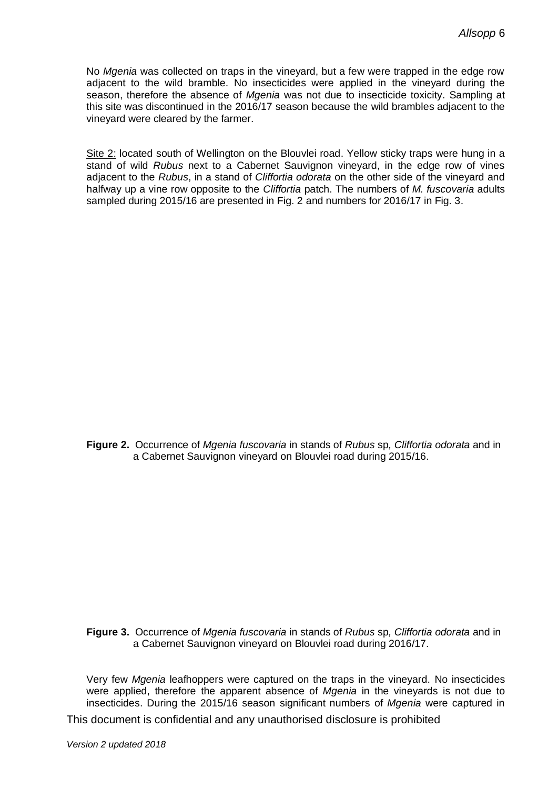No *Mgenia* was collected on traps in the vineyard, but a few were trapped in the edge row adjacent to the wild bramble. No insecticides were applied in the vineyard during the season, therefore the absence of *Mgenia* was not due to insecticide toxicity. Sampling at this site was discontinued in the 2016/17 season because the wild brambles adjacent to the vineyard were cleared by the farmer.

Site 2: located south of Wellington on the Blouvlei road. Yellow sticky traps were hung in a stand of wild *Rubus* next to a Cabernet Sauvignon vineyard, in the edge row of vines adjacent to the *Rubus*, in a stand of *Cliffortia odorata* on the other side of the vineyard and halfway up a vine row opposite to the *Cliffortia* patch. The numbers of *M. fuscovaria* adults sampled during 2015/16 are presented in Fig. 2 and numbers for 2016/17 in Fig. 3.

**Figure 2.** Occurrence of *Mgenia fuscovaria* in stands of *Rubus* sp*, Cliffortia odorata* and in a Cabernet Sauvignon vineyard on Blouvlei road during 2015/16.

**Figure 3.** Occurrence of *Mgenia fuscovaria* in stands of *Rubus* sp*, Cliffortia odorata* and in a Cabernet Sauvignon vineyard on Blouvlei road during 2016/17.

Very few *Mgenia* leafhoppers were captured on the traps in the vineyard. No insecticides were applied, therefore the apparent absence of *Mgenia* in the vineyards is not due to insecticides. During the 2015/16 season significant numbers of *Mgenia* were captured in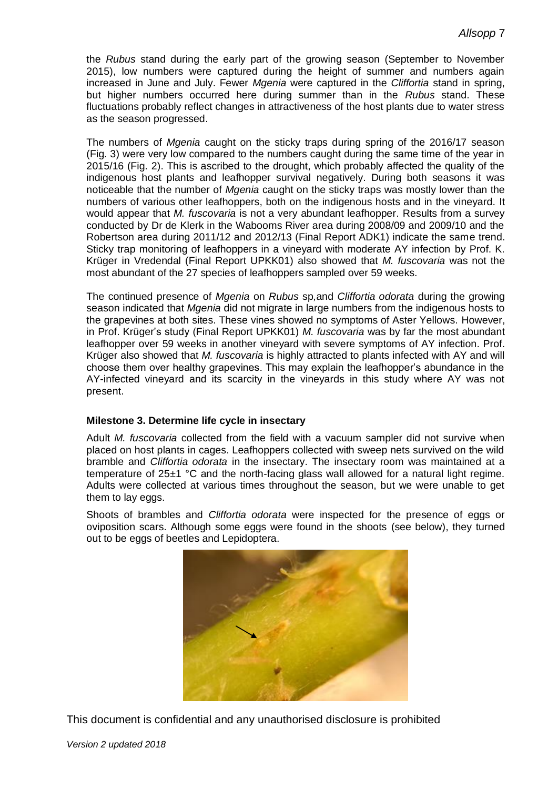the *Rubus* stand during the early part of the growing season (September to November 2015), low numbers were captured during the height of summer and numbers again increased in June and July. Fewer *Mgenia* were captured in the *Cliffortia* stand in spring, but higher numbers occurred here during summer than in the *Rubus* stand. These fluctuations probably reflect changes in attractiveness of the host plants due to water stress as the season progressed.

The numbers of *Mgenia* caught on the sticky traps during spring of the 2016/17 season (Fig. 3) were very low compared to the numbers caught during the same time of the year in 2015/16 (Fig. 2). This is ascribed to the drought, which probably affected the quality of the indigenous host plants and leafhopper survival negatively. During both seasons it was noticeable that the number of *Mgenia* caught on the sticky traps was mostly lower than the numbers of various other leafhoppers, both on the indigenous hosts and in the vineyard. It would appear that *M. fuscovaria* is not a very abundant leafhopper. Results from a survey conducted by Dr de Klerk in the Wabooms River area during 2008/09 and 2009/10 and the Robertson area during 2011/12 and 2012/13 (Final Report ADK1) indicate the same trend. Sticky trap monitoring of leafhoppers in a vineyard with moderate AY infection by Prof. K. Krüger in Vredendal (Final Report UPKK01) also showed that *M. fuscovaria* was not the most abundant of the 27 species of leafhoppers sampled over 59 weeks.

The continued presence of *Mgenia* on *Rubus* sp*,*and *Cliffortia odorata* during the growing season indicated that *Mgenia* did not migrate in large numbers from the indigenous hosts to the grapevines at both sites. These vines showed no symptoms of Aster Yellows. However, in Prof. Krüger's study (Final Report UPKK01) *M. fuscovaria* was by far the most abundant leafhopper over 59 weeks in another vineyard with severe symptoms of AY infection. Prof. Krüger also showed that *M. fuscovaria* is highly attracted to plants infected with AY and will choose them over healthy grapevines. This may explain the leafhopper's abundance in the AY-infected vineyard and its scarcity in the vineyards in this study where AY was not present.

#### **Milestone 3. Determine life cycle in insectary**

Adult *M. fuscovaria* collected from the field with a vacuum sampler did not survive when placed on host plants in cages. Leafhoppers collected with sweep nets survived on the wild bramble and *Cliffortia odorata* in the insectary. The insectary room was maintained at a temperature of 25±1 °C and the north-facing glass wall allowed for a natural light regime. Adults were collected at various times throughout the season, but we were unable to get them to lay eggs.

Shoots of brambles and *Cliffortia odorata* were inspected for the presence of eggs or oviposition scars. Although some eggs were found in the shoots (see below), they turned out to be eggs of beetles and Lepidoptera.

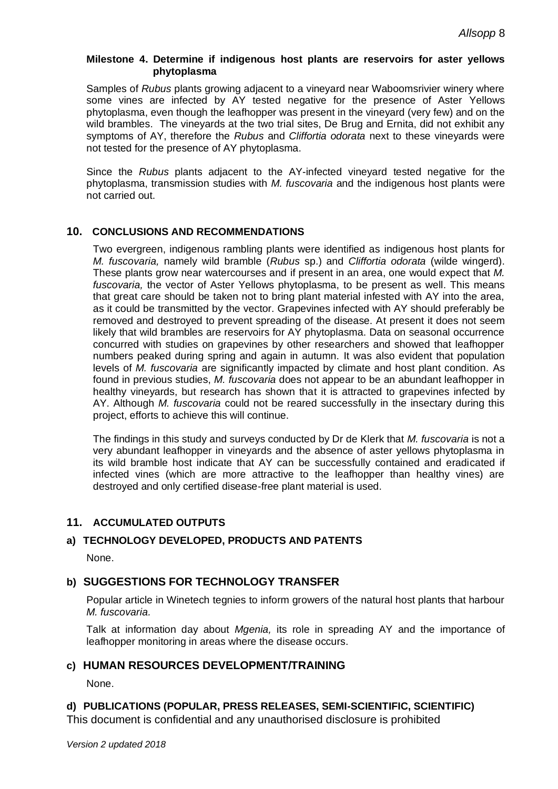#### **Milestone 4. Determine if indigenous host plants are reservoirs for aster yellows phytoplasma**

Samples of *Rubus* plants growing adjacent to a vineyard near Waboomsrivier winery where some vines are infected by AY tested negative for the presence of Aster Yellows phytoplasma, even though the leafhopper was present in the vineyard (very few) and on the wild brambles. The vineyards at the two trial sites, De Brug and Ernita, did not exhibit any symptoms of AY, therefore the *Rubus* and *Cliffortia odorata* next to these vineyards were not tested for the presence of AY phytoplasma.

Since the *Rubus* plants adjacent to the AY-infected vineyard tested negative for the phytoplasma, transmission studies with *M. fuscovaria* and the indigenous host plants were not carried out.

### **10. CONCLUSIONS AND RECOMMENDATIONS**

Two evergreen, indigenous rambling plants were identified as indigenous host plants for *M. fuscovaria,* namely wild bramble (*Rubus* sp.) and *Cliffortia odorata* (wilde wingerd). These plants grow near watercourses and if present in an area, one would expect that *M. fuscovaria,* the vector of Aster Yellows phytoplasma, to be present as well. This means that great care should be taken not to bring plant material infested with AY into the area, as it could be transmitted by the vector. Grapevines infected with AY should preferably be removed and destroyed to prevent spreading of the disease. At present it does not seem likely that wild brambles are reservoirs for AY phytoplasma. Data on seasonal occurrence concurred with studies on grapevines by other researchers and showed that leafhopper numbers peaked during spring and again in autumn. It was also evident that population levels of *M. fuscovaria* are significantly impacted by climate and host plant condition. As found in previous studies, *M. fuscovaria* does not appear to be an abundant leafhopper in healthy vineyards, but research has shown that it is attracted to grapevines infected by AY. Although *M. fuscovaria* could not be reared successfully in the insectary during this project, efforts to achieve this will continue.

The findings in this study and surveys conducted by Dr de Klerk that *M. fuscovaria* is not a very abundant leafhopper in vineyards and the absence of aster yellows phytoplasma in its wild bramble host indicate that AY can be successfully contained and eradicated if infected vines (which are more attractive to the leafhopper than healthy vines) are destroyed and only certified disease-free plant material is used.

### **11. ACCUMULATED OUTPUTS**

## **a) TECHNOLOGY DEVELOPED, PRODUCTS AND PATENTS**

None.

## **b) SUGGESTIONS FOR TECHNOLOGY TRANSFER**

Popular article in Winetech tegnies to inform growers of the natural host plants that harbour *M. fuscovaria.*

Talk at information day about *Mgenia,* its role in spreading AY and the importance of leafhopper monitoring in areas where the disease occurs.

#### **c) HUMAN RESOURCES DEVELOPMENT/TRAINING**

None.

### **d) PUBLICATIONS (POPULAR, PRESS RELEASES, SEMI-SCIENTIFIC, SCIENTIFIC)**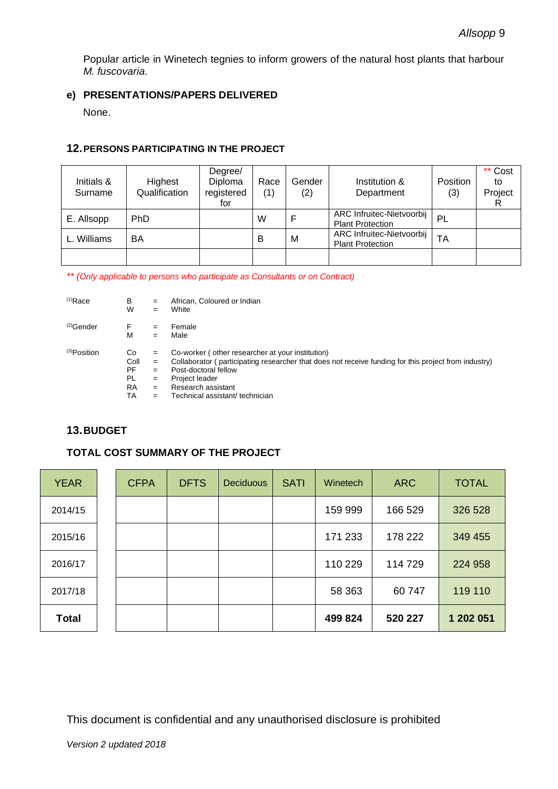Popular article in Winetech tegnies to inform growers of the natural host plants that harbour *M. fuscovaria.*

### **e) PRESENTATIONS/PAPERS DELIVERED**

None.

### **12.PERSONS PARTICIPATING IN THE PROJECT**

| Initials &<br>Surname | Highest<br>Qualification | Degree/<br>Diploma<br>registered<br>for | Race<br>(1) | Gender<br>(2) | Institution &<br>Department                          | Position<br>(3) | ** Cost<br>to<br>Project |
|-----------------------|--------------------------|-----------------------------------------|-------------|---------------|------------------------------------------------------|-----------------|--------------------------|
| E. Allsopp            | PhD                      |                                         | W           |               | ARC Infruitec-Nietvoorbij<br><b>Plant Protection</b> | PL              |                          |
| Williams              | BA                       |                                         | В           | М             | ARC Infruitec-Nietvoorbij<br><b>Plant Protection</b> | TA              |                          |
|                       |                          |                                         |             |               |                                                      |                 |                          |

*\*\* (Only applicable to persons who participate as Consultants or on Contract)*

| $(1)$ Race        | B         | $=$ | African, Coloured or Indian                                                                          |
|-------------------|-----------|-----|------------------------------------------------------------------------------------------------------|
|                   | W         | $=$ | White                                                                                                |
| $(2)$ Gender      | F         | $=$ | Female                                                                                               |
|                   | М         | $=$ | Male                                                                                                 |
| $^{(3)}$ Position | Co        | $=$ | Co-worker (other researcher at your institution)                                                     |
|                   | Coll      | $=$ | Collaborator (participating researcher that does not receive funding for this project from industry) |
|                   | PF        | $=$ | Post-doctoral fellow                                                                                 |
|                   | PL        | $=$ | Project leader                                                                                       |
|                   | <b>RA</b> | $=$ | Research assistant                                                                                   |
|                   | TA        | $=$ | Technical assistant/ technician                                                                      |

## **13.BUDGET**

## **TOTAL COST SUMMARY OF THE PROJECT**

| <b>YEAR</b>  | <b>CFPA</b> | <b>DFTS</b> | <b>Deciduous</b> | <b>SATI</b> | <b>Winetech</b> | <b>ARC</b> | <b>TOTAL</b> |
|--------------|-------------|-------------|------------------|-------------|-----------------|------------|--------------|
| 2014/15      |             |             |                  |             | 159 999         | 166 529    | 326 528      |
| 2015/16      |             |             |                  |             | 171 233         | 178 222    | 349 455      |
| 2016/17      |             |             |                  |             | 110 229         | 114 729    | 224 958      |
| 2017/18      |             |             |                  |             | 58 363          | 60 747     | 119 110      |
| <b>Total</b> |             |             |                  |             | 499 824         | 520 227    | 1 202 051    |